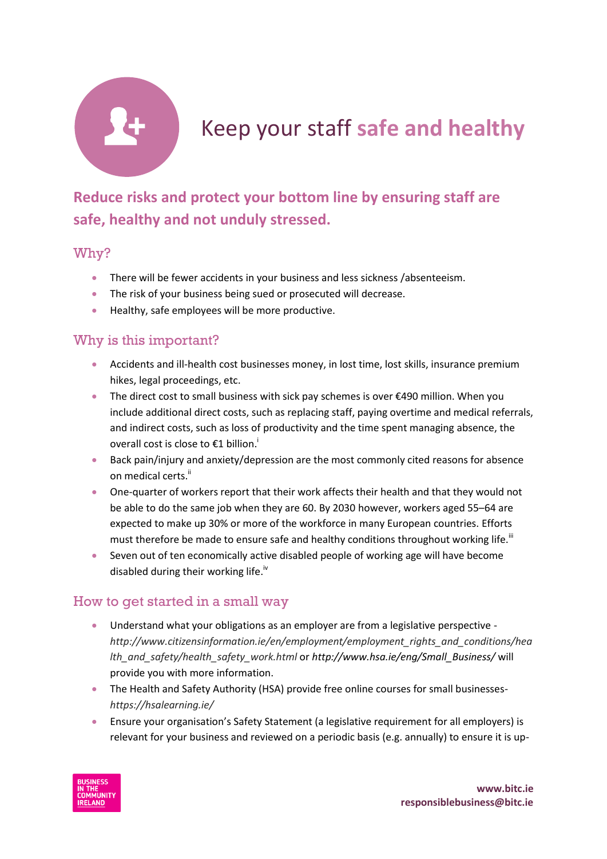

# Keep your staff **safe and healthy**

## **Reduce risks and protect your bottom line by ensuring staff are safe, healthy and not unduly stressed.**

#### Why?

- There will be fewer accidents in your business and less sickness /absenteeism.
- The risk of your business being sued or prosecuted will decrease.
- **•** Healthy, safe employees will be more productive.

### Why is this important?

- Accidents and ill-health cost businesses money, in lost time, lost skills, insurance premium hikes, legal proceedings, etc.
- The direct cost to small business with sick pay schemes is over €490 million. When you include additional direct costs, such as replacing staff, paying overtime and medical referrals, and indirect costs, such as loss of productivity and the time spent managing absence, the overall cost is close to €1 billion.<sup>1</sup>
- Back pain/injury and anxiety/depression are the most commonly cited reasons for absence on medical certs.<sup>ii</sup>
- One-quarter of workers report that their work affects their health and that they would not be able to do the same job when they are 60. By 2030 however, workers aged 55–64 are expected to make up 30% or more of the workforce in many European countries. Efforts must therefore be made to ensure safe and healthy conditions throughout working life.<sup>iii</sup>
- Seven out of ten economically active disabled people of working age will have become disabled during their working life.<sup>iv</sup>

#### How to get started in a small way

- Understand what your obligations as an employer are from a legislative perspective *[http://www.citizensinformation.ie/en/employment/employment\\_rights\\_and\\_conditions/hea](http://www.citizensinformation.ie/en/employment/employment_rights_and_conditions/health_and_safety/health_safety_work.html) [lth\\_and\\_safety/health\\_safety\\_work.html](http://www.citizensinformation.ie/en/employment/employment_rights_and_conditions/health_and_safety/health_safety_work.html)* or *http://www.hsa.ie/eng/Small\_Business/* will provide you with more information.
- The Health and Safety Authority (HSA) provide free online courses for small businesses*<https://hsalearning.ie/>*
- Ensure your organisation's Safety Statement (a legislative requirement for all employers) is relevant for your business and reviewed on a periodic basis (e.g. annually) to ensure it is up-